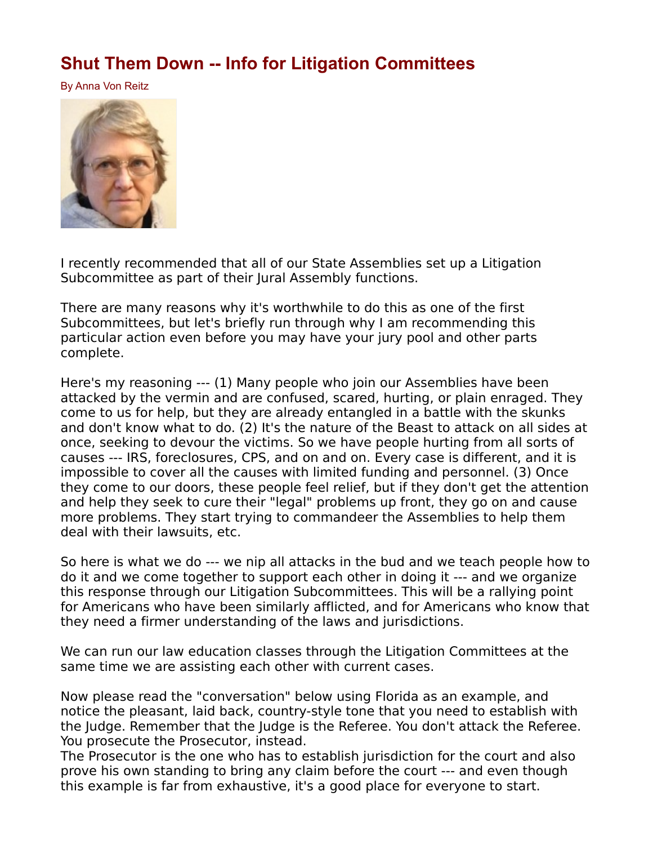## **[Shut Them Down -- Info for Litigation Committees](http://www.paulstramer.net/2021/07/shut-them-down-info-for-litigation.html)**

By Anna Von Reitz



I recently recommended that all of our State Assemblies set up a Litigation Subcommittee as part of their Jural Assembly functions.

There are many reasons why it's worthwhile to do this as one of the first Subcommittees, but let's briefly run through why I am recommending this particular action even before you may have your jury pool and other parts complete.

Here's my reasoning --- (1) Many people who join our Assemblies have been attacked by the vermin and are confused, scared, hurting, or plain enraged. They come to us for help, but they are already entangled in a battle with the skunks and don't know what to do. (2) It's the nature of the Beast to attack on all sides at once, seeking to devour the victims. So we have people hurting from all sorts of causes --- IRS, foreclosures, CPS, and on and on. Every case is different, and it is impossible to cover all the causes with limited funding and personnel. (3) Once they come to our doors, these people feel relief, but if they don't get the attention and help they seek to cure their "legal" problems up front, they go on and cause more problems. They start trying to commandeer the Assemblies to help them deal with their lawsuits, etc.

So here is what we do --- we nip all attacks in the bud and we teach people how to do it and we come together to support each other in doing it --- and we organize this response through our Litigation Subcommittees. This will be a rallying point for Americans who have been similarly afflicted, and for Americans who know that they need a firmer understanding of the laws and jurisdictions.

We can run our law education classes through the Litigation Committees at the same time we are assisting each other with current cases.

Now please read the "conversation" below using Florida as an example, and notice the pleasant, laid back, country-style tone that you need to establish with the Judge. Remember that the Judge is the Referee. You don't attack the Referee. You prosecute the Prosecutor, instead.

The Prosecutor is the one who has to establish jurisdiction for the court and also prove his own standing to bring any claim before the court --- and even though this example is far from exhaustive, it's a good place for everyone to start.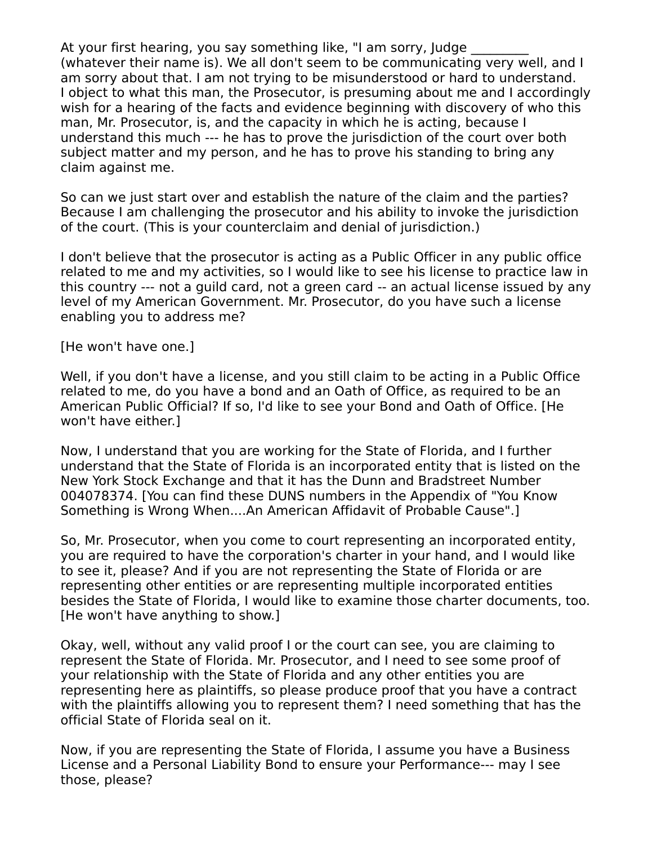At your first hearing, you say something like, "I am sorry, Judge (whatever their name is). We all don't seem to be communicating very well, and I am sorry about that. I am not trying to be misunderstood or hard to understand. I object to what this man, the Prosecutor, is presuming about me and I accordingly wish for a hearing of the facts and evidence beginning with discovery of who this man, Mr. Prosecutor, is, and the capacity in which he is acting, because I understand this much --- he has to prove the jurisdiction of the court over both subject matter and my person, and he has to prove his standing to bring any claim against me.

So can we just start over and establish the nature of the claim and the parties? Because I am challenging the prosecutor and his ability to invoke the jurisdiction of the court. (This is your counterclaim and denial of jurisdiction.)

I don't believe that the prosecutor is acting as a Public Officer in any public office related to me and my activities, so I would like to see his license to practice law in this country --- not a guild card, not a green card -- an actual license issued by any level of my American Government. Mr. Prosecutor, do you have such a license enabling you to address me?

[He won't have one.]

Well, if you don't have a license, and you still claim to be acting in a Public Office related to me, do you have a bond and an Oath of Office, as required to be an American Public Official? If so, I'd like to see your Bond and Oath of Office. [He won't have either.]

Now, I understand that you are working for the State of Florida, and I further understand that the State of Florida is an incorporated entity that is listed on the New York Stock Exchange and that it has the Dunn and Bradstreet Number 004078374. [You can find these DUNS numbers in the Appendix of "You Know Something is Wrong When....An American Affidavit of Probable Cause".]

So, Mr. Prosecutor, when you come to court representing an incorporated entity, you are required to have the corporation's charter in your hand, and I would like to see it, please? And if you are not representing the State of Florida or are representing other entities or are representing multiple incorporated entities besides the State of Florida, I would like to examine those charter documents, too. [He won't have anything to show.]

Okay, well, without any valid proof I or the court can see, you are claiming to represent the State of Florida. Mr. Prosecutor, and I need to see some proof of your relationship with the State of Florida and any other entities you are representing here as plaintiffs, so please produce proof that you have a contract with the plaintiffs allowing you to represent them? I need something that has the official State of Florida seal on it.

Now, if you are representing the State of Florida, I assume you have a Business License and a Personal Liability Bond to ensure your Performance--- may I see those, please?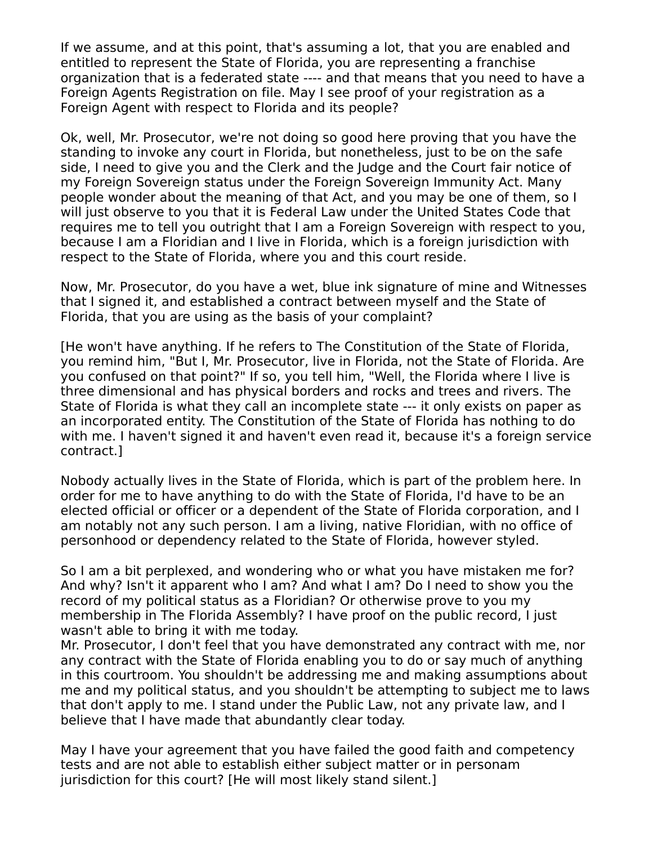If we assume, and at this point, that's assuming a lot, that you are enabled and entitled to represent the State of Florida, you are representing a franchise organization that is a federated state ---- and that means that you need to have a Foreign Agents Registration on file. May I see proof of your registration as a Foreign Agent with respect to Florida and its people?

Ok, well, Mr. Prosecutor, we're not doing so good here proving that you have the standing to invoke any court in Florida, but nonetheless, just to be on the safe side, I need to give you and the Clerk and the Judge and the Court fair notice of my Foreign Sovereign status under the Foreign Sovereign Immunity Act. Many people wonder about the meaning of that Act, and you may be one of them, so I will just observe to you that it is Federal Law under the United States Code that requires me to tell you outright that I am a Foreign Sovereign with respect to you, because I am a Floridian and I live in Florida, which is a foreign jurisdiction with respect to the State of Florida, where you and this court reside.

Now, Mr. Prosecutor, do you have a wet, blue ink signature of mine and Witnesses that I signed it, and established a contract between myself and the State of Florida, that you are using as the basis of your complaint?

[He won't have anything. If he refers to The Constitution of the State of Florida, you remind him, "But I, Mr. Prosecutor, live in Florida, not the State of Florida. Are you confused on that point?" If so, you tell him, "Well, the Florida where I live is three dimensional and has physical borders and rocks and trees and rivers. The State of Florida is what they call an incomplete state --- it only exists on paper as an incorporated entity. The Constitution of the State of Florida has nothing to do with me. I haven't signed it and haven't even read it, because it's a foreign service contract.]

Nobody actually lives in the State of Florida, which is part of the problem here. In order for me to have anything to do with the State of Florida, I'd have to be an elected official or officer or a dependent of the State of Florida corporation, and I am notably not any such person. I am a living, native Floridian, with no office of personhood or dependency related to the State of Florida, however styled.

So I am a bit perplexed, and wondering who or what you have mistaken me for? And why? Isn't it apparent who I am? And what I am? Do I need to show you the record of my political status as a Floridian? Or otherwise prove to you my membership in The Florida Assembly? I have proof on the public record, I just wasn't able to bring it with me today.

Mr. Prosecutor, I don't feel that you have demonstrated any contract with me, nor any contract with the State of Florida enabling you to do or say much of anything in this courtroom. You shouldn't be addressing me and making assumptions about me and my political status, and you shouldn't be attempting to subject me to laws that don't apply to me. I stand under the Public Law, not any private law, and I believe that I have made that abundantly clear today.

May I have your agreement that you have failed the good faith and competency tests and are not able to establish either subject matter or in personam jurisdiction for this court? [He will most likely stand silent.]